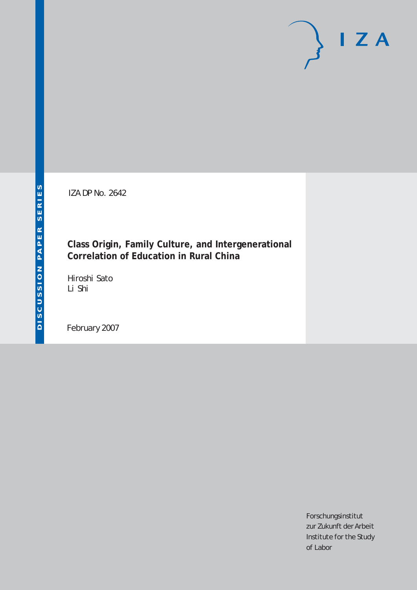IZA DP No. 2642

## **Class Origin, Family Culture, and Intergenerational Correlation of Education in Rural China**

Hiroshi Sato Li Shi

February 2007

Forschungsinstitut zur Zukunft der Arbeit Institute for the Study of Labor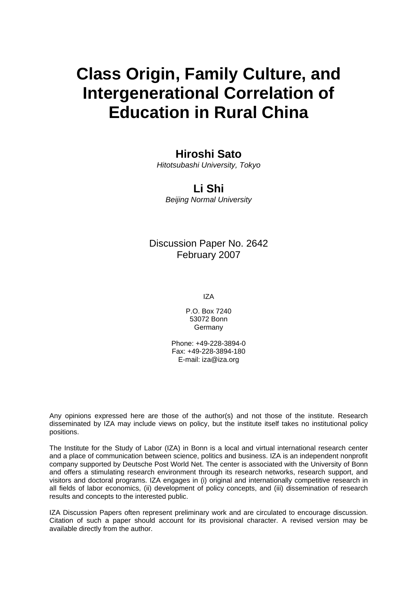## **Class Origin, Family Culture, and Intergenerational Correlation of Education in Rural China**

## **Hiroshi Sato**

*Hitotsubashi University, Tokyo* 

### **Li Shi**

*Beijing Normal University* 

## Discussion Paper No. 2642 February 2007

IZA

P.O. Box 7240 53072 Bonn Germany

Phone: +49-228-3894-0 Fax: +49-228-3894-180 E-mail: [iza@iza.org](mailto:iza@iza.org)

Any opinions expressed here are those of the author(s) and not those of the institute. Research disseminated by IZA may include views on policy, but the institute itself takes no institutional policy positions.

The Institute for the Study of Labor (IZA) in Bonn is a local and virtual international research center and a place of communication between science, politics and business. IZA is an independent nonprofit company supported by Deutsche Post World Net. The center is associated with the University of Bonn and offers a stimulating research environment through its research networks, research support, and visitors and doctoral programs. IZA engages in (i) original and internationally competitive research in all fields of labor economics, (ii) development of policy concepts, and (iii) dissemination of research results and concepts to the interested public.

IZA Discussion Papers often represent preliminary work and are circulated to encourage discussion. Citation of such a paper should account for its provisional character. A revised version may be available directly from the author.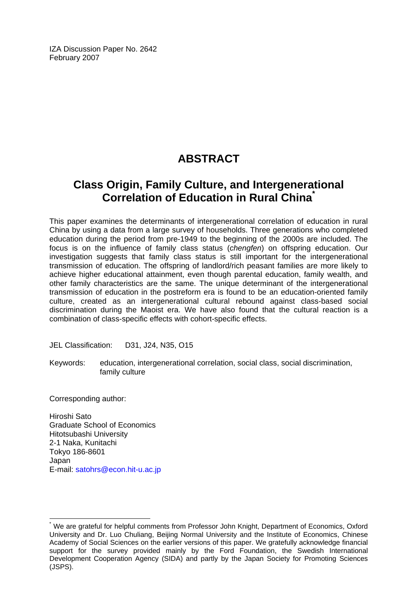IZA Discussion Paper No. 2642 February 2007

## **ABSTRACT**

## **Class Origin, Family Culture, and Intergenerational Correlation of Education in Rural China[\\*](#page-2-0)**

This paper examines the determinants of intergenerational correlation of education in rural China by using a data from a large survey of households. Three generations who completed education during the period from pre-1949 to the beginning of the 2000s are included. The focus is on the influence of family class status (*chengfen*) on offspring education. Our investigation suggests that family class status is still important for the intergenerational transmission of education. The offspring of landlord/rich peasant families are more likely to achieve higher educational attainment, even though parental education, family wealth, and other family characteristics are the same. The unique determinant of the intergenerational transmission of education in the postreform era is found to be an education-oriented family culture, created as an intergenerational cultural rebound against class-based social discrimination during the Maoist era. We have also found that the cultural reaction is a combination of class-specific effects with cohort-specific effects.

JEL Classification: D31, J24, N35, O15

Keywords: education, intergenerational correlation, social class, social discrimination, family culture

Corresponding author:

 $\overline{a}$ 

Hiroshi Sato Graduate School of Economics Hitotsubashi University 2-1 Naka, Kunitachi Tokyo 186-8601 Japan E-mail: [satohrs@econ.hit-u.ac.jp](mailto:satohrs@econ.hit-u.ac.jp) 

<span id="page-2-0"></span><sup>\*</sup> We are grateful for helpful comments from Professor John Knight, Department of Economics, Oxford University and Dr. Luo Chuliang, Beijing Normal University and the Institute of Economics, Chinese Academy of Social Sciences on the earlier versions of this paper. We gratefully acknowledge financial support for the survey provided mainly by the Ford Foundation, the Swedish International Development Cooperation Agency (SIDA) and partly by the Japan Society for Promoting Sciences (JSPS).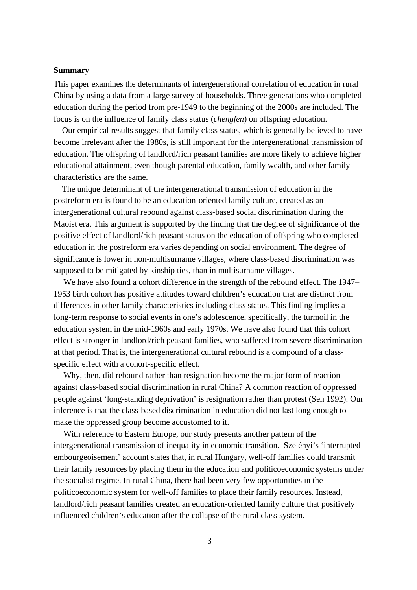#### **Summary**

This paper examines the determinants of intergenerational correlation of education in rural China by using a data from a large survey of households. Three generations who completed education during the period from pre-1949 to the beginning of the 2000s are included. The focus is on the influence of family class status (*chengfen*) on offspring education.

Our empirical results suggest that family class status, which is generally believed to have become irrelevant after the 1980s, is still important for the intergenerational transmission of education. The offspring of landlord/rich peasant families are more likely to achieve higher educational attainment, even though parental education, family wealth, and other family characteristics are the same.

The unique determinant of the intergenerational transmission of education in the postreform era is found to be an education-oriented family culture, created as an intergenerational cultural rebound against class-based social discrimination during the Maoist era. This argument is supported by the finding that the degree of significance of the positive effect of landlord/rich peasant status on the education of offspring who completed education in the postreform era varies depending on social environment. The degree of significance is lower in non-multisurname villages, where class-based discrimination was supposed to be mitigated by kinship ties, than in multisurname villages.

We have also found a cohort difference in the strength of the rebound effect. The 1947– 1953 birth cohort has positive attitudes toward children's education that are distinct from differences in other family characteristics including class status. This finding implies a long-term response to social events in one's adolescence, specifically, the turmoil in the education system in the mid-1960s and early 1970s. We have also found that this cohort effect is stronger in landlord/rich peasant families, who suffered from severe discrimination at that period. That is, the intergenerational cultural rebound is a compound of a classspecific effect with a cohort-specific effect.

Why, then, did rebound rather than resignation become the major form of reaction against class-based social discrimination in rural China? A common reaction of oppressed people against 'long-standing deprivation' is resignation rather than protest (Sen 1992). Our inference is that the class-based discrimination in education did not last long enough to make the oppressed group become accustomed to it.

With reference to Eastern Europe, our study presents another pattern of the intergenerational transmission of inequality in economic transition. Szelényi's 'interrupted embourgeoisement' account states that, in rural Hungary, well-off families could transmit their family resources by placing them in the education and politicoeconomic systems under the socialist regime. In rural China, there had been very few opportunities in the politicoeconomic system for well-off families to place their family resources. Instead, landlord/rich peasant families created an education-oriented family culture that positively influenced children's education after the collapse of the rural class system.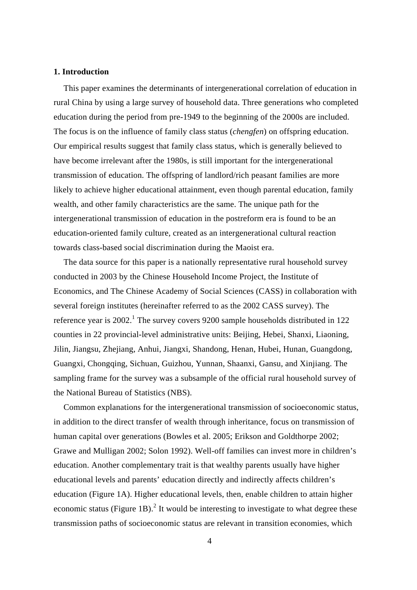#### **1. Introduction**

This paper examines the determinants of intergenerational correlation of education in rural China by using a large survey of household data. Three generations who completed education during the period from pre-1949 to the beginning of the 2000s are included. The focus is on the influence of family class status (*chengfen*) on offspring education. Our empirical results suggest that family class status, which is generally believed to have become irrelevant after the 1980s, is still important for the intergenerational transmission of education. The offspring of landlord/rich peasant families are more likely to achieve higher educational attainment, even though parental education, family wealth, and other family characteristics are the same. The unique path for the intergenerational transmission of education in the postreform era is found to be an education-oriented family culture, created as an intergenerational cultural reaction towards class-based social discrimination during the Maoist era.

The data source for this paper is a nationally representative rural household survey conducted in 2003 by the Chinese Household Income Project, the Institute of Economics, and The Chinese Academy of Social Sciences (CASS) in collaboration with several foreign institutes (hereinafter referred to as the 2002 CASS survey). The reference year is  $2002$ .<sup>[1](#page-41-0)</sup> The survey covers 9200 sample households distributed in 122 counties in 22 provincial-level administrative units: Beijing, Hebei, Shanxi, Liaoning, Jilin, Jiangsu, Zhejiang, Anhui, Jiangxi, Shandong, Henan, Hubei, Hunan, Guangdong, Guangxi, Chongqing, Sichuan, Guizhou, Yunnan, Shaanxi, Gansu, and Xinjiang. The sampling frame for the survey was a subsample of the official rural household survey of the National Bureau of Statistics (NBS).

Common explanations for the intergenerational transmission of socioeconomic status, in addition to the direct transfer of wealth through inheritance, focus on transmission of human capital over generations (Bowles et al. 2005; Erikson and Goldthorpe 2002; Grawe and Mulligan 2002; Solon 1992). Well-off families can invest more in children's education. Another complementary trait is that wealthy parents usually have higher educational levels and parents' education directly and indirectly affects children's education (Figure 1A). Higher educational levels, then, enable children to attain higher economic status (Figure 1B).<sup>[2](#page-41-1)</sup> It would be interesting to investigate to what degree these transmission paths of socioeconomic status are relevant in transition economies, which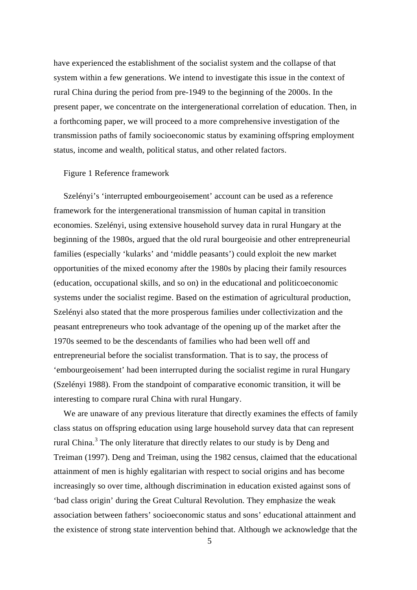have experienced the establishment of the socialist system and the collapse of that system within a few generations. We intend to investigate this issue in the context of rural China during the period from pre-1949 to the beginning of the 2000s. In the present paper, we concentrate on the intergenerational correlation of education. Then, in a forthcoming paper, we will proceed to a more comprehensive investigation of the transmission paths of family socioeconomic status by examining offspring employment status, income and wealth, political status, and other related factors.

#### Figure 1 Reference framework

Szelényi's 'interrupted embourgeoisement' account can be used as a reference framework for the intergenerational transmission of human capital in transition economies. Szelényi, using extensive household survey data in rural Hungary at the beginning of the 1980s, argued that the old rural bourgeoisie and other entrepreneurial families (especially 'kularks' and 'middle peasants') could exploit the new market opportunities of the mixed economy after the 1980s by placing their family resources (education, occupational skills, and so on) in the educational and politicoeconomic systems under the socialist regime. Based on the estimation of agricultural production, Szelényi also stated that the more prosperous families under collectivization and the peasant entrepreneurs who took advantage of the opening up of the market after the 1970s seemed to be the descendants of families who had been well off and entrepreneurial before the socialist transformation. That is to say, the process of 'embourgeoisement' had been interrupted during the socialist regime in rural Hungary (Szelényi 1988). From the standpoint of comparative economic transition, it will be interesting to compare rural China with rural Hungary.

We are unaware of any previous literature that directly examines the effects of family class status on offspring education using large household survey data that can represent rural China.<sup>[3](#page-41-2)</sup> The only literature that directly relates to our study is by Deng and Treiman (1997). Deng and Treiman, using the 1982 census, claimed that the educational attainment of men is highly egalitarian with respect to social origins and has become increasingly so over time, although discrimination in education existed against sons of 'bad class origin' during the Great Cultural Revolution. They emphasize the weak association between fathers' socioeconomic status and sons' educational attainment and the existence of strong state intervention behind that. Although we acknowledge that the

5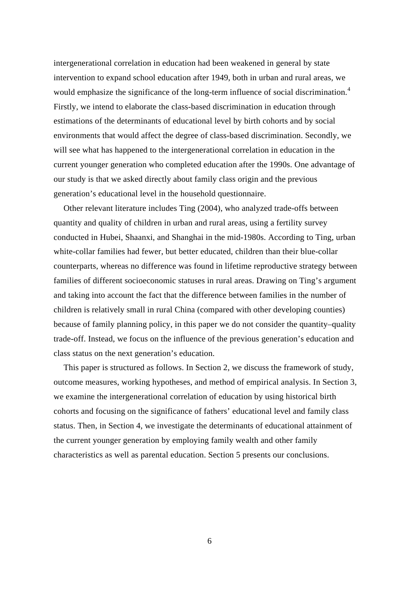intergenerational correlation in education had been weakened in general by state intervention to expand school education after 1949, both in urban and rural areas, we would emphasize the significance of the long-term influence of social discrimination.<sup>[4](#page-41-3)</sup> Firstly, we intend to elaborate the class-based discrimination in education through estimations of the determinants of educational level by birth cohorts and by social environments that would affect the degree of class-based discrimination. Secondly, we will see what has happened to the intergenerational correlation in education in the current younger generation who completed education after the 1990s. One advantage of our study is that we asked directly about family class origin and the previous generation's educational level in the household questionnaire.

Other relevant literature includes Ting (2004), who analyzed trade-offs between quantity and quality of children in urban and rural areas, using a fertility survey conducted in Hubei, Shaanxi, and Shanghai in the mid-1980s. According to Ting, urban white-collar families had fewer, but better educated, children than their blue-collar counterparts, whereas no difference was found in lifetime reproductive strategy between families of different socioeconomic statuses in rural areas. Drawing on Ting's argument and taking into account the fact that the difference between families in the number of children is relatively small in rural China (compared with other developing counties) because of family planning policy, in this paper we do not consider the quantity–quality trade-off. Instead, we focus on the influence of the previous generation's education and class status on the next generation's education.

This paper is structured as follows. In Section 2, we discuss the framework of study, outcome measures, working hypotheses, and method of empirical analysis. In Section 3, we examine the intergenerational correlation of education by using historical birth cohorts and focusing on the significance of fathers' educational level and family class status. Then, in Section 4, we investigate the determinants of educational attainment of the current younger generation by employing family wealth and other family characteristics as well as parental education. Section 5 presents our conclusions.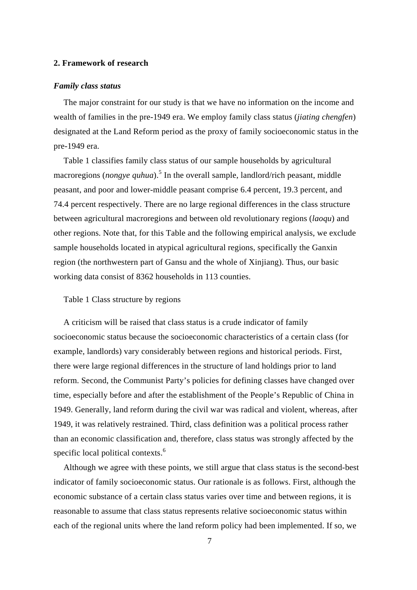#### **2. Framework of research**

#### *Family class status*

The major constraint for our study is that we have no information on the income and wealth of families in the pre-1949 era. We employ family class status (*jiating chengfen*) designated at the Land Reform period as the proxy of family socioeconomic status in the pre-1949 era.

Table 1 classifies family class status of our sample households by agricultural macroregions (*nongye quhua*).<sup>[5](#page-41-4)</sup> In the overall sample, landlord/rich peasant, middle peasant, and poor and lower-middle peasant comprise 6.4 percent, 19.3 percent, and 74.4 percent respectively. There are no large regional differences in the class structure between agricultural macroregions and between old revolutionary regions (*laoqu*) and other regions. Note that, for this Table and the following empirical analysis, we exclude sample households located in atypical agricultural regions, specifically the Ganxin region (the northwestern part of Gansu and the whole of Xinjiang). Thus, our basic working data consist of 8362 households in 113 counties.

#### Table 1 Class structure by regions

A criticism will be raised that class status is a crude indicator of family socioeconomic status because the socioeconomic characteristics of a certain class (for example, landlords) vary considerably between regions and historical periods. First, there were large regional differences in the structure of land holdings prior to land reform. Second, the Communist Party's policies for defining classes have changed over time, especially before and after the establishment of the People's Republic of China in 1949. Generally, land reform during the civil war was radical and violent, whereas, after 1949, it was relatively restrained. Third, class definition was a political process rather than an economic classification and, therefore, class status was strongly affected by the specific local political contexts.<sup>[6](#page-41-5)</sup>

Although we agree with these points, we still argue that class status is the second-best indicator of family socioeconomic status. Our rationale is as follows. First, although the economic substance of a certain class status varies over time and between regions, it is reasonable to assume that class status represents relative socioeconomic status within each of the regional units where the land reform policy had been implemented. If so, we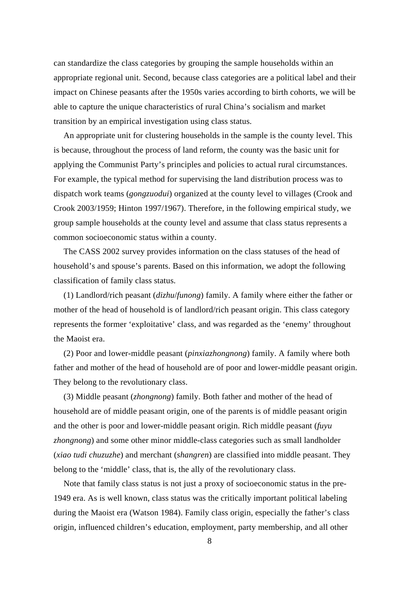can standardize the class categories by grouping the sample households within an appropriate regional unit. Second, because class categories are a political label and their impact on Chinese peasants after the 1950s varies according to birth cohorts, we will be able to capture the unique characteristics of rural China's socialism and market transition by an empirical investigation using class status.

An appropriate unit for clustering households in the sample is the county level. This is because, throughout the process of land reform, the county was the basic unit for applying the Communist Party's principles and policies to actual rural circumstances. For example, the typical method for supervising the land distribution process was to dispatch work teams (*gongzuodui*) organized at the county level to villages (Crook and Crook 2003/1959; Hinton 1997/1967). Therefore, in the following empirical study, we group sample households at the county level and assume that class status represents a common socioeconomic status within a county.

The CASS 2002 survey provides information on the class statuses of the head of household's and spouse's parents. Based on this information, we adopt the following classification of family class status.

(1) Landlord/rich peasant (*dizhu*/*funong*) family. A family where either the father or mother of the head of household is of landlord/rich peasant origin. This class category represents the former 'exploitative' class, and was regarded as the 'enemy' throughout the Maoist era.

(2) Poor and lower-middle peasant (*pinxiazhongnong*) family. A family where both father and mother of the head of household are of poor and lower-middle peasant origin. They belong to the revolutionary class.

(3) Middle peasant (*zhongnong*) family. Both father and mother of the head of household are of middle peasant origin, one of the parents is of middle peasant origin and the other is poor and lower-middle peasant origin. Rich middle peasant (*fuyu zhongnong*) and some other minor middle-class categories such as small landholder (*xiao tudi chuzuzhe*) and merchant (*shangren*) are classified into middle peasant. They belong to the 'middle' class, that is, the ally of the revolutionary class.

Note that family class status is not just a proxy of socioeconomic status in the pre-1949 era. As is well known, class status was the critically important political labeling during the Maoist era (Watson 1984). Family class origin, especially the father's class origin, influenced children's education, employment, party membership, and all other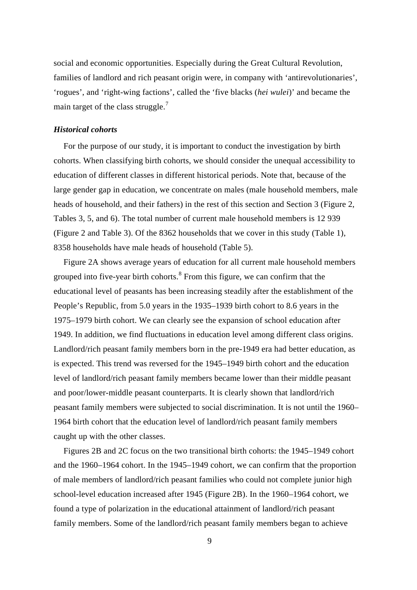social and economic opportunities. Especially during the Great Cultural Revolution, families of landlord and rich peasant origin were, in company with 'antirevolutionaries', 'rogues', and 'right-wing factions', called the 'five blacks (*hei wulei*)' and became the main target of the class struggle.<sup>[7](#page-41-6)</sup>

#### *Historical cohorts*

For the purpose of our study, it is important to conduct the investigation by birth cohorts. When classifying birth cohorts, we should consider the unequal accessibility to education of different classes in different historical periods. Note that, because of the large gender gap in education, we concentrate on males (male household members, male heads of household, and their fathers) in the rest of this section and Section 3 (Figure 2, Tables 3, 5, and 6). The total number of current male household members is 12 939 (Figure 2 and Table 3). Of the 8362 households that we cover in this study (Table 1), 8358 households have male heads of household (Table 5).

Figure 2A shows average years of education for all current male household members grouped into five-year birth cohorts.<sup>[8](#page-41-7)</sup> From this figure, we can confirm that the educational level of peasants has been increasing steadily after the establishment of the People's Republic, from 5.0 years in the 1935–1939 birth cohort to 8.6 years in the 1975–1979 birth cohort. We can clearly see the expansion of school education after 1949. In addition, we find fluctuations in education level among different class origins. Landlord/rich peasant family members born in the pre-1949 era had better education, as is expected. This trend was reversed for the 1945–1949 birth cohort and the education level of landlord/rich peasant family members became lower than their middle peasant and poor/lower-middle peasant counterparts. It is clearly shown that landlord/rich peasant family members were subjected to social discrimination. It is not until the 1960– 1964 birth cohort that the education level of landlord/rich peasant family members caught up with the other classes.

Figures 2B and 2C focus on the two transitional birth cohorts: the 1945–1949 cohort and the 1960–1964 cohort. In the 1945–1949 cohort, we can confirm that the proportion of male members of landlord/rich peasant families who could not complete junior high school-level education increased after 1945 (Figure 2B). In the 1960–1964 cohort, we found a type of polarization in the educational attainment of landlord/rich peasant family members. Some of the landlord/rich peasant family members began to achieve

9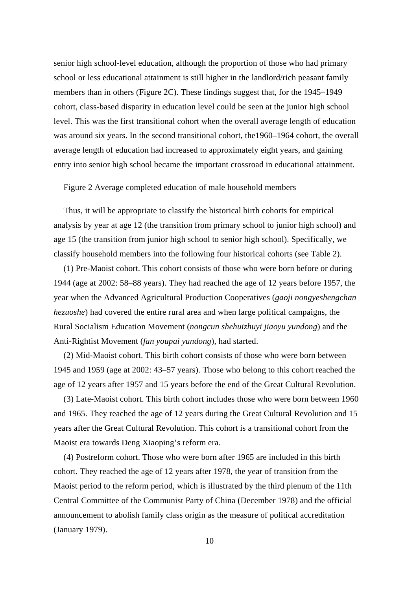senior high school-level education, although the proportion of those who had primary school or less educational attainment is still higher in the landlord/rich peasant family members than in others (Figure 2C). These findings suggest that, for the 1945–1949 cohort, class-based disparity in education level could be seen at the junior high school level. This was the first transitional cohort when the overall average length of education was around six years. In the second transitional cohort, the1960–1964 cohort, the overall average length of education had increased to approximately eight years, and gaining entry into senior high school became the important crossroad in educational attainment.

Figure 2 Average completed education of male household members

Thus, it will be appropriate to classify the historical birth cohorts for empirical analysis by year at age 12 (the transition from primary school to junior high school) and age 15 (the transition from junior high school to senior high school). Specifically, we classify household members into the following four historical cohorts (see Table 2).

(1) Pre-Maoist cohort. This cohort consists of those who were born before or during 1944 (age at 2002: 58–88 years). They had reached the age of 12 years before 1957, the year when the Advanced Agricultural Production Cooperatives (*gaoji nongyeshengchan hezuoshe*) had covered the entire rural area and when large political campaigns, the Rural Socialism Education Movement (*nongcun shehuizhuyi jiaoyu yundong*) and the Anti-Rightist Movement (*fan youpai yundong*), had started.

(2) Mid-Maoist cohort. This birth cohort consists of those who were born between 1945 and 1959 (age at 2002: 43–57 years). Those who belong to this cohort reached the age of 12 years after 1957 and 15 years before the end of the Great Cultural Revolution.

(3) Late-Maoist cohort. This birth cohort includes those who were born between 1960 and 1965. They reached the age of 12 years during the Great Cultural Revolution and 15 years after the Great Cultural Revolution. This cohort is a transitional cohort from the Maoist era towards Deng Xiaoping's reform era.

(4) Postreform cohort. Those who were born after 1965 are included in this birth cohort. They reached the age of 12 years after 1978, the year of transition from the Maoist period to the reform period, which is illustrated by the third plenum of the 11th Central Committee of the Communist Party of China (December 1978) and the official announcement to abolish family class origin as the measure of political accreditation (January 1979).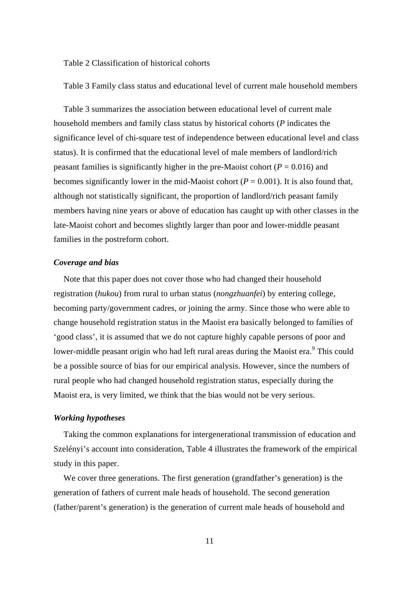Table 2 Classification of historical cohorts

Table 3 Family class status and educational level of current male household members

Table 3 summarizes the association between educational level of current male household members and family class status by historical cohorts (*P* indicates the significance level of chi-square test of independence between educational level and class status). It is confirmed that the educational level of male members of landlord/rich peasant families is significantly higher in the pre-Maoist cohort ( $P = 0.016$ ) and becomes significantly lower in the mid-Maoist cohort ( $P = 0.001$ ). It is also found that, although not statistically significant, the proportion of landlord/rich peasant family members having nine years or above of education has caught up with other classes in the late-Maoist cohort and becomes slightly larger than poor and lower-middle peasant families in the postreform cohort.

#### *Coverage and bias*

Note that this paper does not cover those who had changed their household registration (*hukou*) from rural to urban status (*nongzhuanfei*) by entering college, becoming party/government cadres, or joining the army. Since those who were able to change household registration status in the Maoist era basically belonged to families of 'good class', it is assumed that we do not capture highly capable persons of poor and lower-middle peasant origin who had left rural areas during the Maoist era.<sup>[9](#page-41-8)</sup> This could be a possible source of bias for our empirical analysis. However, since the numbers of rural people who had changed household registration status, especially during the Maoist era, is very limited, we think that the bias would not be very serious.

#### *Working hypotheses*

Taking the common explanations for intergenerational transmission of education and Szelényi's account into consideration, Table 4 illustrates the framework of the empirical study in this paper.

We cover three generations. The first generation (grandfather's generation) is the generation of fathers of current male heads of household. The second generation (father/parent's generation) is the generation of current male heads of household and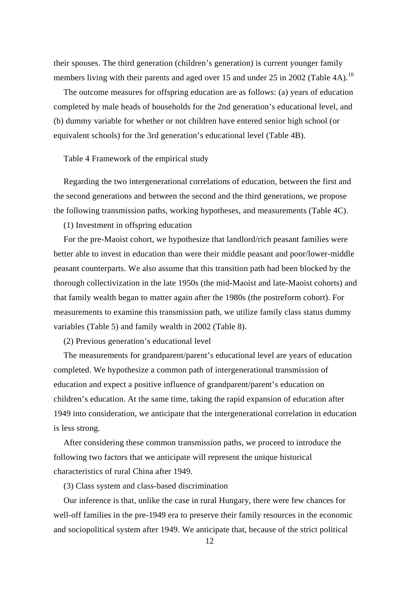their spouses. The third generation (children's generation) is current younger family members living with their parents and aged over 15 and under 25 in 2002 (Table 4A).<sup>[10](#page-41-9)</sup>

The outcome measures for offspring education are as follows: (a) years of education completed by male heads of households for the 2nd generation's educational level, and (b) dummy variable for whether or not children have entered senior high school (or equivalent schools) for the 3rd generation's educational level (Table 4B).

Table 4 Framework of the empirical study

Regarding the two intergenerational correlations of education, between the first and the second generations and between the second and the third generations, we propose the following transmission paths, working hypotheses, and measurements (Table 4C).

(1) Investment in offspring education

For the pre-Maoist cohort, we hypothesize that landlord/rich peasant families were better able to invest in education than were their middle peasant and poor/lower-middle peasant counterparts. We also assume that this transition path had been blocked by the thorough collectivization in the late 1950s (the mid-Maoist and late-Maoist cohorts) and that family wealth began to matter again after the 1980s (the postreform cohort). For measurements to examine this transmission path, we utilize family class status dummy variables (Table 5) and family wealth in 2002 (Table 8).

(2) Previous generation's educational level

The measurements for grandparent/parent's educational level are years of education completed. We hypothesize a common path of intergenerational transmission of education and expect a positive influence of grandparent/parent's education on children's education. At the same time, taking the rapid expansion of education after 1949 into consideration, we anticipate that the intergenerational correlation in education is less strong.

After considering these common transmission paths, we proceed to introduce the following two factors that we anticipate will represent the unique historical characteristics of rural China after 1949.

(3) Class system and class-based discrimination

Our inference is that, unlike the case in rural Hungary, there were few chances for well-off families in the pre-1949 era to preserve their family resources in the economic and sociopolitical system after 1949. We anticipate that, because of the strict political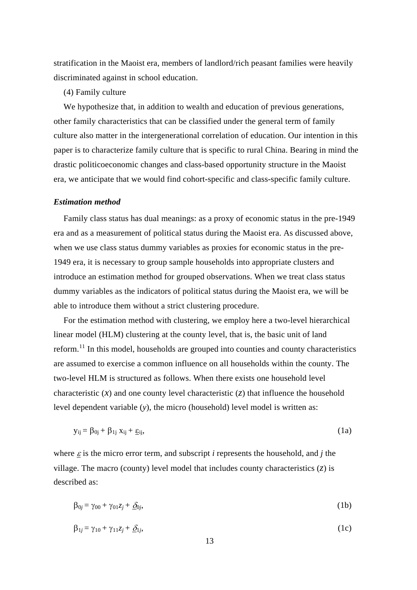stratification in the Maoist era, members of landlord/rich peasant families were heavily discriminated against in school education.

#### (4) Family culture

We hypothesize that, in addition to wealth and education of previous generations, other family characteristics that can be classified under the general term of family culture also matter in the intergenerational correlation of education. Our intention in this paper is to characterize family culture that is specific to rural China. Bearing in mind the drastic politicoeconomic changes and class-based opportunity structure in the Maoist era, we anticipate that we would find cohort-specific and class-specific family culture.

#### *Estimation method*

Family class status has dual meanings: as a proxy of economic status in the pre-1949 era and as a measurement of political status during the Maoist era. As discussed above, when we use class status dummy variables as proxies for economic status in the pre-1949 era, it is necessary to group sample households into appropriate clusters and introduce an estimation method for grouped observations. When we treat class status dummy variables as the indicators of political status during the Maoist era, we will be able to introduce them without a strict clustering procedure.

For the estimation method with clustering, we employ here a two-level hierarchical linear model (HLM) clustering at the county level, that is, the basic unit of land reform. $11$  In this model, households are grouped into counties and county characteristics are assumed to exercise a common influence on all households within the county. The two-level HLM is structured as follows. When there exists one household level characteristic  $(x)$  and one county level characteristic  $(z)$  that influence the household level dependent variable (*y*), the micro (household) level model is written as:

$$
y_{ij} = \beta_{0j} + \beta_{1j} x_{ij} + \underline{\varepsilon}_{ij},\tag{1a}
$$

where  $\epsilon$  is the micro error term, and subscript *i* represents the household, and *j* the village. The macro (county) level model that includes county characteristics (*z*) is described as:

$$
\beta_{0j} = \gamma_{00} + \gamma_{01}z_j + \underline{\delta}_{0j},\tag{1b}
$$

$$
\beta_{1j} = \gamma_{10} + \gamma_{11}z_j + \underline{\delta}_{1j},\tag{1c}
$$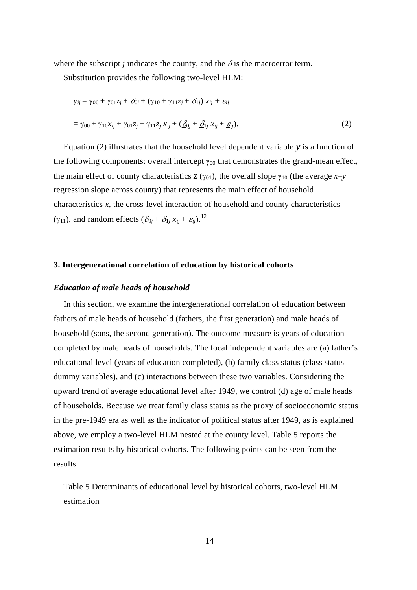where the subscript *j* indicates the county, and the  $\delta$  is the macroerror term.

Substitution provides the following two-level HLM:

$$
y_{ij} = \gamma_{00} + \gamma_{01}z_j + \underline{\delta}_{0j} + (\gamma_{10} + \gamma_{11}z_j + \underline{\delta}_{1j}) x_{ij} + \underline{\varepsilon}_{ij}
$$
  
=  $\gamma_{00} + \gamma_{10}x_{ij} + \gamma_{01}z_j + \gamma_{11}z_j x_{ij} + (\underline{\delta}_{0j} + \underline{\delta}_{1j} x_{ij} + \underline{\varepsilon}_{ij}).$  (2)

Equation (2) illustrates that the household level dependent variable *y* is a function of the following components: overall intercept  $\gamma_{00}$  that demonstrates the grand-mean effect, the main effect of county characteristics *z* ( $\gamma_{01}$ ), the overall slope  $\gamma_{10}$  (the average *x*-*y* regression slope across county) that represents the main effect of household characteristics *x*, the cross-level interaction of household and county characteristics ( $\gamma_{11}$ ), and random effects ( $\underline{\delta}_{0j} + \underline{\delta}_{1j} x_{ij} + \underline{\varepsilon}_{ij}$ ).<sup>[12](#page-41-11)</sup>

#### **3. Intergenerational correlation of education by historical cohorts**

#### *Education of male heads of household*

In this section, we examine the intergenerational correlation of education between fathers of male heads of household (fathers, the first generation) and male heads of household (sons, the second generation). The outcome measure is years of education completed by male heads of households. The focal independent variables are (a) father's educational level (years of education completed), (b) family class status (class status dummy variables), and (c) interactions between these two variables. Considering the upward trend of average educational level after 1949, we control (d) age of male heads of households. Because we treat family class status as the proxy of socioeconomic status in the pre-1949 era as well as the indicator of political status after 1949, as is explained above, we employ a two-level HLM nested at the county level. Table 5 reports the estimation results by historical cohorts. The following points can be seen from the results.

Table 5 Determinants of educational level by historical cohorts, two-level HLM estimation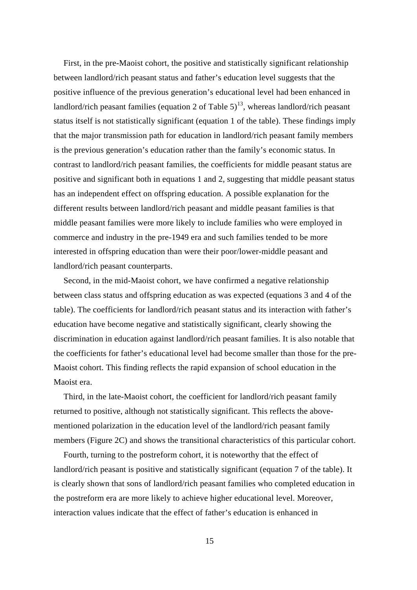First, in the pre-Maoist cohort, the positive and statistically significant relationship between landlord/rich peasant status and father's education level suggests that the positive influence of the previous generation's educational level had been enhanced in landlord/rich peasant families (equation 2 of Table  $5$ )<sup>13</sup>, whereas landlord/rich peasant status itself is not statistically significant (equation 1 of the table). These findings imply that the major transmission path for education in landlord/rich peasant family members is the previous generation's education rather than the family's economic status. In contrast to landlord/rich peasant families, the coefficients for middle peasant status are positive and significant both in equations 1 and 2, suggesting that middle peasant status has an independent effect on offspring education. A possible explanation for the different results between landlord/rich peasant and middle peasant families is that middle peasant families were more likely to include families who were employed in commerce and industry in the pre-1949 era and such families tended to be more interested in offspring education than were their poor/lower-middle peasant and landlord/rich peasant counterparts.

Second, in the mid-Maoist cohort, we have confirmed a negative relationship between class status and offspring education as was expected (equations 3 and 4 of the table). The coefficients for landlord/rich peasant status and its interaction with father's education have become negative and statistically significant, clearly showing the discrimination in education against landlord/rich peasant families. It is also notable that the coefficients for father's educational level had become smaller than those for the pre-Maoist cohort. This finding reflects the rapid expansion of school education in the Maoist era.

Third, in the late-Maoist cohort, the coefficient for landlord/rich peasant family returned to positive, although not statistically significant. This reflects the abovementioned polarization in the education level of the landlord/rich peasant family members (Figure 2C) and shows the transitional characteristics of this particular cohort.

Fourth, turning to the postreform cohort, it is noteworthy that the effect of landlord/rich peasant is positive and statistically significant (equation 7 of the table). It is clearly shown that sons of landlord/rich peasant families who completed education in the postreform era are more likely to achieve higher educational level. Moreover, interaction values indicate that the effect of father's education is enhanced in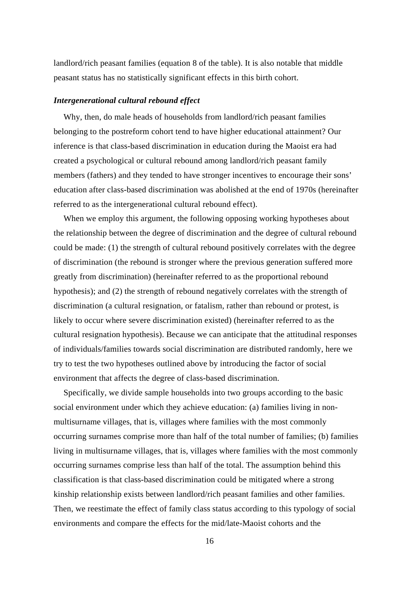landlord/rich peasant families (equation 8 of the table). It is also notable that middle peasant status has no statistically significant effects in this birth cohort.

#### *Intergenerational cultural rebound effect*

Why, then, do male heads of households from landlord/rich peasant families belonging to the postreform cohort tend to have higher educational attainment? Our inference is that class-based discrimination in education during the Maoist era had created a psychological or cultural rebound among landlord/rich peasant family members (fathers) and they tended to have stronger incentives to encourage their sons' education after class-based discrimination was abolished at the end of 1970s (hereinafter referred to as the intergenerational cultural rebound effect).

When we employ this argument, the following opposing working hypotheses about the relationship between the degree of discrimination and the degree of cultural rebound could be made: (1) the strength of cultural rebound positively correlates with the degree of discrimination (the rebound is stronger where the previous generation suffered more greatly from discrimination) (hereinafter referred to as the proportional rebound hypothesis); and (2) the strength of rebound negatively correlates with the strength of discrimination (a cultural resignation, or fatalism, rather than rebound or protest, is likely to occur where severe discrimination existed) (hereinafter referred to as the cultural resignation hypothesis). Because we can anticipate that the attitudinal responses of individuals/families towards social discrimination are distributed randomly, here we try to test the two hypotheses outlined above by introducing the factor of social environment that affects the degree of class-based discrimination.

Specifically, we divide sample households into two groups according to the basic social environment under which they achieve education: (a) families living in nonmultisurname villages, that is, villages where families with the most commonly occurring surnames comprise more than half of the total number of families; (b) families living in multisurname villages, that is, villages where families with the most commonly occurring surnames comprise less than half of the total. The assumption behind this classification is that class-based discrimination could be mitigated where a strong kinship relationship exists between landlord/rich peasant families and other families. Then, we reestimate the effect of family class status according to this typology of social environments and compare the effects for the mid/late-Maoist cohorts and the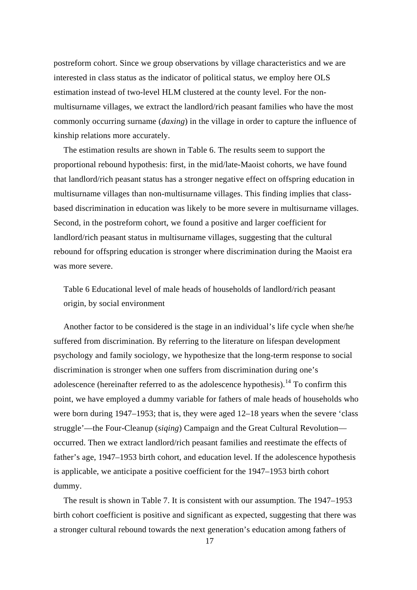postreform cohort. Since we group observations by village characteristics and we are interested in class status as the indicator of political status, we employ here OLS estimation instead of two-level HLM clustered at the county level. For the nonmultisurname villages, we extract the landlord/rich peasant families who have the most commonly occurring surname (*daxing*) in the village in order to capture the influence of kinship relations more accurately.

The estimation results are shown in Table 6. The results seem to support the proportional rebound hypothesis: first, in the mid/late-Maoist cohorts, we have found that landlord/rich peasant status has a stronger negative effect on offspring education in multisurname villages than non-multisurname villages. This finding implies that classbased discrimination in education was likely to be more severe in multisurname villages. Second, in the postreform cohort, we found a positive and larger coefficient for landlord/rich peasant status in multisurname villages, suggesting that the cultural rebound for offspring education is stronger where discrimination during the Maoist era was more severe.

Table 6 Educational level of male heads of households of landlord/rich peasant origin, by social environment

Another factor to be considered is the stage in an individual's life cycle when she/he suffered from discrimination. By referring to the literature on lifespan development psychology and family sociology, we hypothesize that the long-term response to social discrimination is stronger when one suffers from discrimination during one's adolescence (hereinafter referred to as the adolescence hypothesis).<sup>14</sup> To confirm this point, we have employed a dummy variable for fathers of male heads of households who were born during 1947–1953; that is, they were aged 12–18 years when the severe 'class struggle'—the Four-Cleanup (*siqing*) Campaign and the Great Cultural Revolution occurred. Then we extract landlord/rich peasant families and reestimate the effects of father's age, 1947–1953 birth cohort, and education level. If the adolescence hypothesis is applicable, we anticipate a positive coefficient for the 1947–1953 birth cohort dummy.

The result is shown in Table 7. It is consistent with our assumption. The 1947–1953 birth cohort coefficient is positive and significant as expected, suggesting that there was a stronger cultural rebound towards the next generation's education among fathers of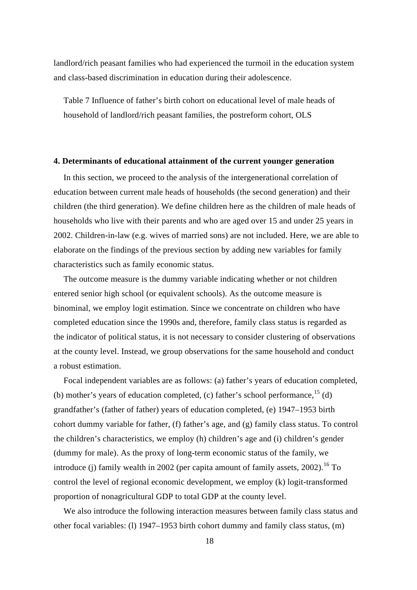landlord/rich peasant families who had experienced the turmoil in the education system and class-based discrimination in education during their adolescence.

Table 7 Influence of father's birth cohort on educational level of male heads of household of landlord/rich peasant families, the postreform cohort, OLS

#### **4. Determinants of educational attainment of the current younger generation**

In this section, we proceed to the analysis of the intergenerational correlation of education between current male heads of households (the second generation) and their children (the third generation). We define children here as the children of male heads of households who live with their parents and who are aged over 15 and under 25 years in 2002. Children-in-law (e.g. wives of married sons) are not included. Here, we are able to elaborate on the findings of the previous section by adding new variables for family characteristics such as family economic status.

The outcome measure is the dummy variable indicating whether or not children entered senior high school (or equivalent schools). As the outcome measure is binominal, we employ logit estimation. Since we concentrate on children who have completed education since the 1990s and, therefore, family class status is regarded as the indicator of political status, it is not necessary to consider clustering of observations at the county level. Instead, we group observations for the same household and conduct a robust estimation.

Focal independent variables are as follows: (a) father's years of education completed, (b) mother's years of education completed, (c) father's school performance,  $^{15}$  (d) grandfather's (father of father) years of education completed, (e) 1947–1953 birth cohort dummy variable for father, (f) father's age, and (g) family class status. To control the children's characteristics, we employ (h) children's age and (i) children's gender (dummy for male). As the proxy of long-term economic status of the family, we introduce (j) family wealth in 2002 (per capita amount of family assets,  $2002$ ).<sup>16</sup> To control the level of regional economic development, we employ (k) logit-transformed proportion of nonagricultural GDP to total GDP at the county level.

We also introduce the following interaction measures between family class status and other focal variables: (l) 1947–1953 birth cohort dummy and family class status, (m)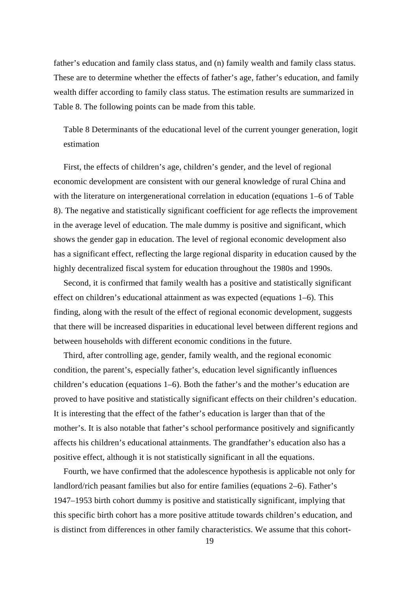father's education and family class status, and (n) family wealth and family class status. These are to determine whether the effects of father's age, father's education, and family wealth differ according to family class status. The estimation results are summarized in Table 8. The following points can be made from this table.

Table 8 Determinants of the educational level of the current younger generation, logit estimation

First, the effects of children's age, children's gender, and the level of regional economic development are consistent with our general knowledge of rural China and with the literature on intergenerational correlation in education (equations 1–6 of Table 8). The negative and statistically significant coefficient for age reflects the improvement in the average level of education. The male dummy is positive and significant, which shows the gender gap in education. The level of regional economic development also has a significant effect, reflecting the large regional disparity in education caused by the highly decentralized fiscal system for education throughout the 1980s and 1990s.

Second, it is confirmed that family wealth has a positive and statistically significant effect on children's educational attainment as was expected (equations 1–6). This finding, along with the result of the effect of regional economic development, suggests that there will be increased disparities in educational level between different regions and between households with different economic conditions in the future.

Third, after controlling age, gender, family wealth, and the regional economic condition, the parent's, especially father's, education level significantly influences children's education (equations 1–6). Both the father's and the mother's education are proved to have positive and statistically significant effects on their children's education. It is interesting that the effect of the father's education is larger than that of the mother's. It is also notable that father's school performance positively and significantly affects his children's educational attainments. The grandfather's education also has a positive effect, although it is not statistically significant in all the equations.

Fourth, we have confirmed that the adolescence hypothesis is applicable not only for landlord/rich peasant families but also for entire families (equations 2–6). Father's 1947–1953 birth cohort dummy is positive and statistically significant, implying that this specific birth cohort has a more positive attitude towards children's education, and is distinct from differences in other family characteristics. We assume that this cohort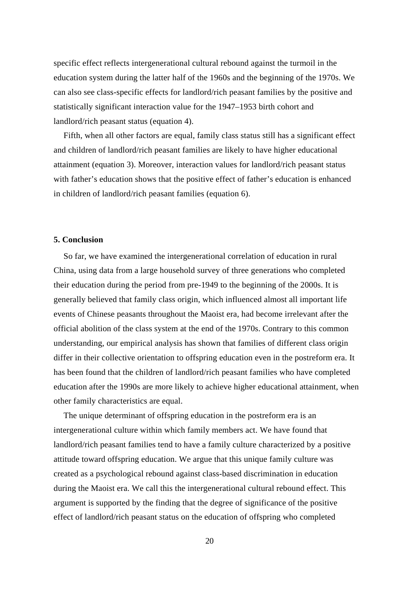specific effect reflects intergenerational cultural rebound against the turmoil in the education system during the latter half of the 1960s and the beginning of the 1970s. We can also see class-specific effects for landlord/rich peasant families by the positive and statistically significant interaction value for the 1947–1953 birth cohort and landlord/rich peasant status (equation 4).

Fifth, when all other factors are equal, family class status still has a significant effect and children of landlord/rich peasant families are likely to have higher educational attainment (equation 3). Moreover, interaction values for landlord/rich peasant status with father's education shows that the positive effect of father's education is enhanced in children of landlord/rich peasant families (equation 6).

#### **5. Conclusion**

So far, we have examined the intergenerational correlation of education in rural China, using data from a large household survey of three generations who completed their education during the period from pre-1949 to the beginning of the 2000s. It is generally believed that family class origin, which influenced almost all important life events of Chinese peasants throughout the Maoist era, had become irrelevant after the official abolition of the class system at the end of the 1970s. Contrary to this common understanding, our empirical analysis has shown that families of different class origin differ in their collective orientation to offspring education even in the postreform era. It has been found that the children of landlord/rich peasant families who have completed education after the 1990s are more likely to achieve higher educational attainment, when other family characteristics are equal.

The unique determinant of offspring education in the postreform era is an intergenerational culture within which family members act. We have found that landlord/rich peasant families tend to have a family culture characterized by a positive attitude toward offspring education. We argue that this unique family culture was created as a psychological rebound against class-based discrimination in education during the Maoist era. We call this the intergenerational cultural rebound effect. This argument is supported by the finding that the degree of significance of the positive effect of landlord/rich peasant status on the education of offspring who completed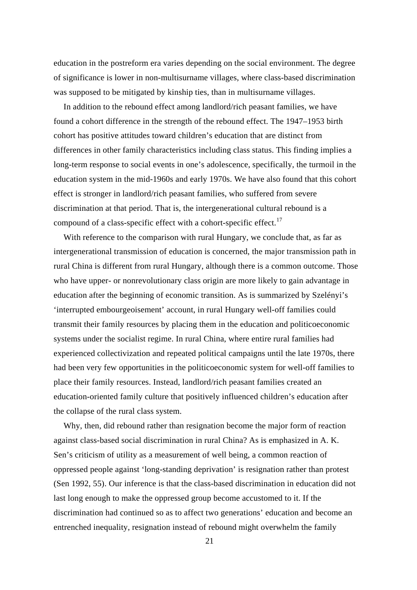education in the postreform era varies depending on the social environment. The degree of significance is lower in non-multisurname villages, where class-based discrimination was supposed to be mitigated by kinship ties, than in multisurname villages.

In addition to the rebound effect among landlord/rich peasant families, we have found a cohort difference in the strength of the rebound effect. The 1947–1953 birth cohort has positive attitudes toward children's education that are distinct from differences in other family characteristics including class status. This finding implies a long-term response to social events in one's adolescence, specifically, the turmoil in the education system in the mid-1960s and early 1970s. We have also found that this cohort effect is stronger in landlord/rich peasant families, who suffered from severe discrimination at that period. That is, the intergenerational cultural rebound is a compound of a class-specific effect with a cohort-specific effect.<sup>[17](#page-41-16)</sup>

With reference to the comparison with rural Hungary, we conclude that, as far as intergenerational transmission of education is concerned, the major transmission path in rural China is different from rural Hungary, although there is a common outcome. Those who have upper- or nonrevolutionary class origin are more likely to gain advantage in education after the beginning of economic transition. As is summarized by Szelényi's 'interrupted embourgeoisement' account, in rural Hungary well-off families could transmit their family resources by placing them in the education and politicoeconomic systems under the socialist regime. In rural China, where entire rural families had experienced collectivization and repeated political campaigns until the late 1970s, there had been very few opportunities in the politicoeconomic system for well-off families to place their family resources. Instead, landlord/rich peasant families created an education-oriented family culture that positively influenced children's education after the collapse of the rural class system.

Why, then, did rebound rather than resignation become the major form of reaction against class-based social discrimination in rural China? As is emphasized in A. K. Sen's criticism of utility as a measurement of well being, a common reaction of oppressed people against 'long-standing deprivation' is resignation rather than protest (Sen 1992, 55). Our inference is that the class-based discrimination in education did not last long enough to make the oppressed group become accustomed to it. If the discrimination had continued so as to affect two generations' education and become an entrenched inequality, resignation instead of rebound might overwhelm the family

21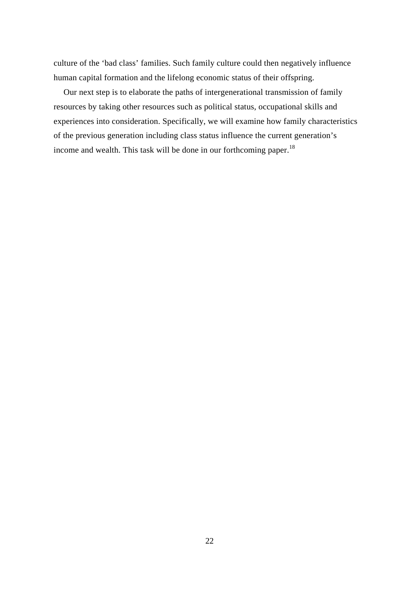culture of the 'bad class' families. Such family culture could then negatively influence human capital formation and the lifelong economic status of their offspring.

Our next step is to elaborate the paths of intergenerational transmission of family resources by taking other resources such as political status, occupational skills and experiences into consideration. Specifically, we will examine how family characteristics of the previous generation including class status influence the current generation's income and wealth. This task will be done in our forthcoming paper.[18](#page-41-17)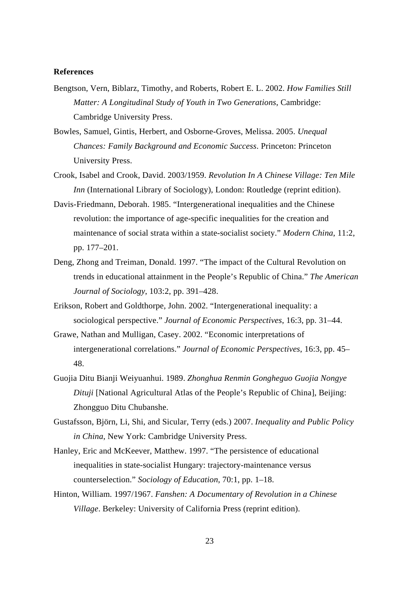#### **References**

- Bengtson, Vern, Biblarz, Timothy, and Roberts, Robert E. L. 2002. *How Families Still Matter: A Longitudinal Study of Youth in Two Generations*, Cambridge: Cambridge University Press.
- Bowles, Samuel, Gintis, Herbert, and Osborne-Groves, Melissa. 2005. *Unequal Chances: Family Background and Economic Success*. Princeton: Princeton University Press.
- Crook, Isabel and Crook, David. 2003/1959. *Revolution In A Chinese Village: Ten Mile Inn* (International Library of Sociology), London: Routledge (reprint edition).
- Davis-Friedmann, Deborah. 1985. "Intergenerational inequalities and the Chinese revolution: the importance of age-specific inequalities for the creation and maintenance of social strata within a state-socialist society." *Modern China*, 11:2, pp. 177–201.
- Deng, Zhong and Treiman, Donald. 1997. "The impact of the Cultural Revolution on trends in educational attainment in the People's Republic of China." *The American Journal of Sociology*, 103:2, pp. 391–428.
- Erikson, Robert and Goldthorpe, John. 2002. "Intergenerational inequality: a sociological perspective." *Journal of Economic Perspectives*, 16:3, pp. 31–44.
- Grawe, Nathan and Mulligan, Casey. 2002. "Economic interpretations of intergenerational correlations." *Journal of Economic Perspectives*, 16:3, pp. 45– 48.
- Guojia Ditu Bianji Weiyuanhui. 1989. *Zhonghua Renmin Gongheguo Guojia Nongye Dituji* [National Agricultural Atlas of the People's Republic of China], Beijing: Zhongguo Ditu Chubanshe.
- Gustafsson, Björn, Li, Shi, and Sicular, Terry (eds.) 2007. *Inequality and Public Policy in China*, New York: Cambridge University Press.
- Hanley, Eric and McKeever, Matthew. 1997. "The persistence of educational inequalities in state-socialist Hungary: trajectory-maintenance versus counterselection." *Sociology of Education*, 70:1, pp. 1–18.
- Hinton, William. 1997/1967. *Fanshen: A Documentary of Revolution in a Chinese Village*. Berkeley: University of California Press (reprint edition).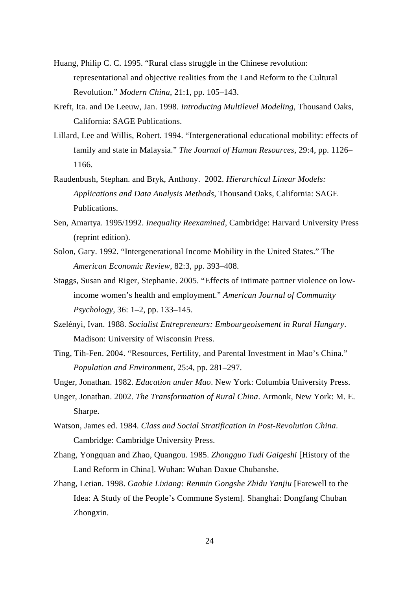- Huang, Philip C. C. 1995. "Rural class struggle in the Chinese revolution: representational and objective realities from the Land Reform to the Cultural Revolution." *Modern China*, 21:1, pp. 105–143.
- Kreft, Ita. and De Leeuw, Jan. 1998. *Introducing Multilevel Modeling*, Thousand Oaks, California: SAGE Publications.
- Lillard, Lee and Willis, Robert. 1994. "Intergenerational educational mobility: effects of family and state in Malaysia." *The Journal of Human Resources*, 29:4, pp. 1126– 1166.
- Raudenbush, Stephan. and Bryk, Anthony. 2002. *Hierarchical Linear Models: Applications and Data Analysis Methods*, Thousand Oaks, California: SAGE Publications.
- Sen, Amartya. 1995/1992. *Inequality Reexamined*, Cambridge: Harvard University Press (reprint edition).
- Solon, Gary. 1992. "Intergenerational Income Mobility in the United States." The *American Economic Review*, 82:3, pp. 393–408.
- Staggs, Susan and Riger, Stephanie. 2005. "Effects of intimate partner violence on lowincome women's health and employment." *American Journal of Community Psychology*, 36: 1–2, pp. 133–145.
- Szelényi, Ivan. 1988. *Socialist Entrepreneurs: Embourgeoisement in Rural Hungary*. Madison: University of Wisconsin Press.
- Ting, Tih-Fen. 2004. "Resources, Fertility, and Parental Investment in Mao's China." *Population and Environment*, 25:4, pp. 281–297.
- Unger, Jonathan. 1982. *Education under Mao*. New York: Columbia University Press.
- Unger, Jonathan. 2002. *The Transformation of Rural China*. Armonk, New York: M. E. Sharpe.
- Watson, James ed. 1984. *Class and Social Stratification in Post-Revolution China*. Cambridge: Cambridge University Press.
- Zhang, Yongquan and Zhao, Quangou. 1985. *Zhongguo Tudi Gaigeshi* [History of the Land Reform in China]. Wuhan: Wuhan Daxue Chubanshe.
- Zhang, Letian. 1998. *Gaobie Lixiang: Renmin Gongshe Zhidu Yanjiu* [Farewell to the Idea: A Study of the People's Commune System]. Shanghai: Dongfang Chuban Zhongxin.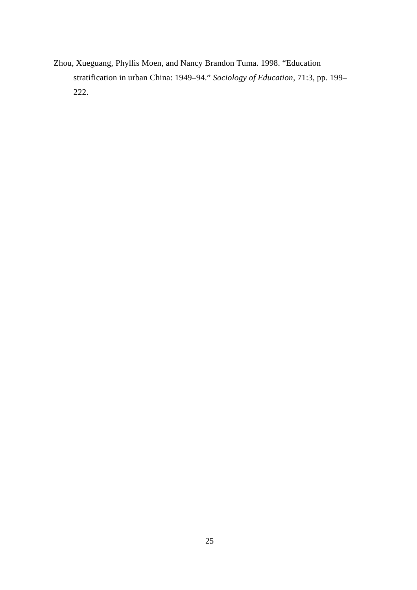Zhou, Xueguang, Phyllis Moen, and Nancy Brandon Tuma. 1998. "Education stratification in urban China: 1949–94." *Sociology of Education,* 71:3, pp. 199– 222.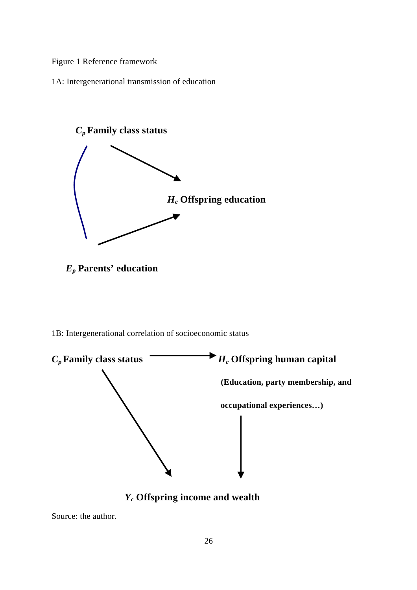Figure 1 Reference framework

1A: Intergenerational transmission of education



- *Ep* **Parents' education**
- 1B: Intergenerational correlation of socioeconomic status



*Yc* **Offspring income and wealth**

Source: the author.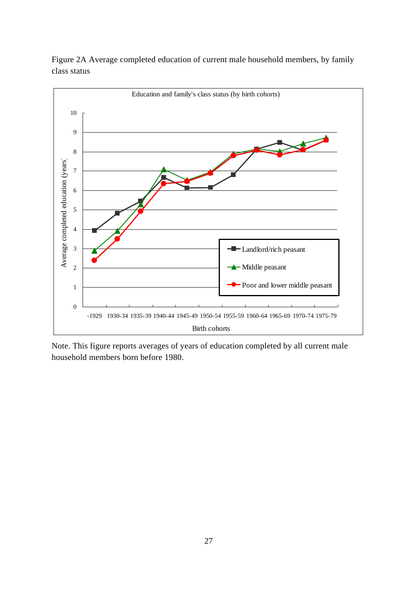

Figure 2A Average completed education of current male household members, by family class status

Note. This figure reports averages of years of education completed by all current male household members born before 1980.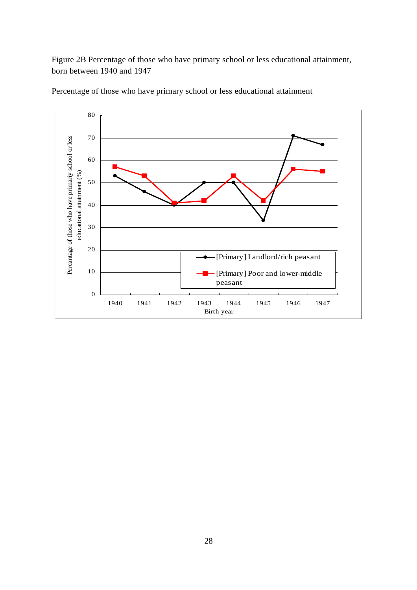Figure 2B Percentage of those who have primary school or less educational attainment, born between 1940 and 1947



Percentage of those who have primary school or less educational attainment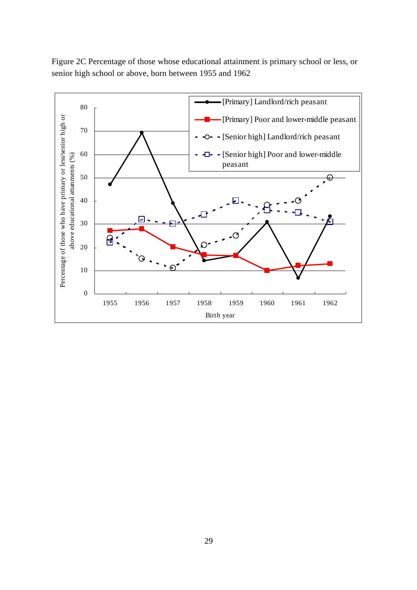

Figure 2C Percentage of those whose educational attainment is primary school or less, or senior high school or above, born between 1955 and 1962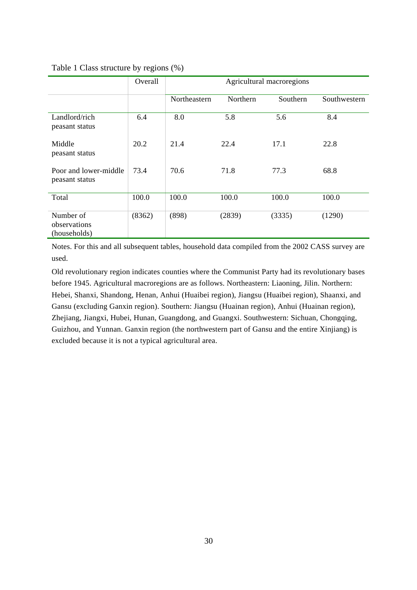|                                           | Overall | Agricultural macroregions |          |          |              |  |  |
|-------------------------------------------|---------|---------------------------|----------|----------|--------------|--|--|
|                                           |         | Northeastern              | Northern | Southern | Southwestern |  |  |
| Landlord/rich<br>peasant status           | 6.4     | 8.0                       | 5.8      | 5.6      | 8.4          |  |  |
| Middle<br>peasant status                  | 20.2    | 21.4                      | 22.4     | 17.1     | 22.8         |  |  |
| Poor and lower-middle<br>peasant status   | 73.4    | 70.6                      | 71.8     | 77.3     | 68.8         |  |  |
| Total                                     | 100.0   | 100.0                     | 100.0    | 100.0    | 100.0        |  |  |
| Number of<br>observations<br>(households) | (8362)  | (898)                     | (2839)   | (3335)   | (1290)       |  |  |

#### Table 1 Class structure by regions (%)

Notes. For this and all subsequent tables, household data compiled from the 2002 CASS survey are used.

Old revolutionary region indicates counties where the Communist Party had its revolutionary bases before 1945. Agricultural macroregions are as follows. Northeastern: Liaoning, Jilin. Northern: Hebei, Shanxi, Shandong, Henan, Anhui (Huaibei region), Jiangsu (Huaibei region), Shaanxi, and Gansu (excluding Ganxin region). Southern: Jiangsu (Huainan region), Anhui (Huainan region), Zhejiang, Jiangxi, Hubei, Hunan, Guangdong, and Guangxi. Southwestern: Sichuan, Chongqing, Guizhou, and Yunnan. Ganxin region (the northwestern part of Gansu and the entire Xinjiang) is excluded because it is not a typical agricultural area.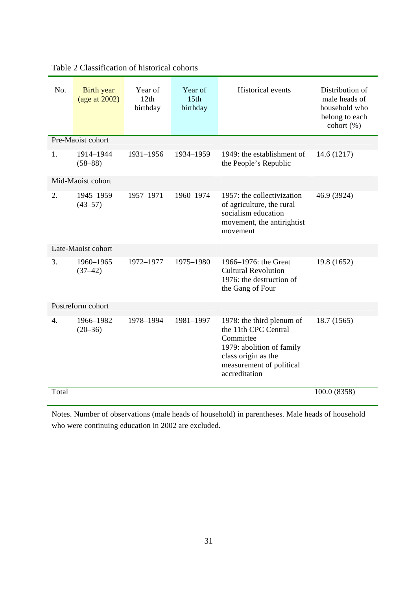| No.              | <b>Birth</b> year<br>(age at $2002$ ) | Year of<br>12th<br>birthday | Year of<br>15 <sub>th</sub><br>birthday | <b>Historical</b> events                                                                                                                                        | Distribution of<br>male heads of<br>household who<br>belong to each<br>cohort (%) |
|------------------|---------------------------------------|-----------------------------|-----------------------------------------|-----------------------------------------------------------------------------------------------------------------------------------------------------------------|-----------------------------------------------------------------------------------|
|                  | Pre-Maoist cohort                     |                             |                                         |                                                                                                                                                                 |                                                                                   |
| 1.               | 1914-1944<br>$(58 - 88)$              | 1931-1956                   | 1934-1959                               | 1949: the establishment of<br>the People's Republic                                                                                                             | 14.6 (1217)                                                                       |
|                  | Mid-Maoist cohort                     |                             |                                         |                                                                                                                                                                 |                                                                                   |
| 2.               | 1945-1959<br>$(43 - 57)$              | 1957-1971                   | 1960-1974                               | 1957: the collectivization<br>of agriculture, the rural<br>socialism education<br>movement, the antirightist<br>movement                                        | 46.9 (3924)                                                                       |
|                  | Late-Maoist cohort                    |                             |                                         |                                                                                                                                                                 |                                                                                   |
| 3.               | 1960-1965<br>$(37-42)$                | 1972-1977                   | 1975-1980                               | 1966–1976: the Great<br><b>Cultural Revolution</b><br>1976: the destruction of<br>the Gang of Four                                                              | 19.8 (1652)                                                                       |
|                  | Postreform cohort                     |                             |                                         |                                                                                                                                                                 |                                                                                   |
| $\overline{4}$ . | 1966-1982<br>$(20-36)$                | 1978-1994                   | 1981-1997                               | 1978: the third plenum of<br>the 11th CPC Central<br>Committee<br>1979: abolition of family<br>class origin as the<br>measurement of political<br>accreditation | 18.7 (1565)                                                                       |
| Total            |                                       |                             |                                         |                                                                                                                                                                 | 100.0 (8358)                                                                      |

## Table 2 Classification of historical cohorts

Notes. Number of observations (male heads of household) in parentheses. Male heads of household who were continuing education in 2002 are excluded.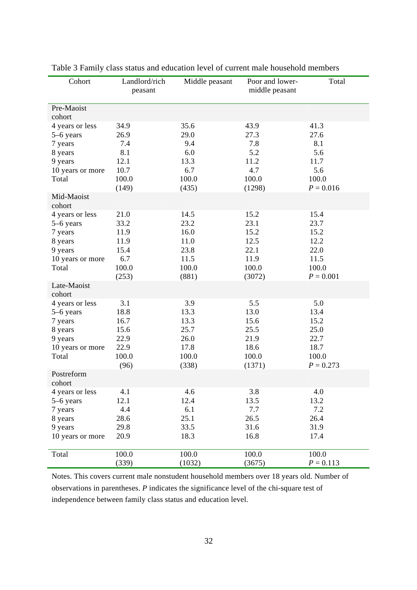| Cohort                                                                                     | Landlord/rich<br>peasant                                      | Middle peasant                                                 | Poor and lower-<br>middle peasant                               | Total                                                                |
|--------------------------------------------------------------------------------------------|---------------------------------------------------------------|----------------------------------------------------------------|-----------------------------------------------------------------|----------------------------------------------------------------------|
| Pre-Maoist<br>cohort                                                                       |                                                               |                                                                |                                                                 |                                                                      |
| 4 years or less<br>5–6 years<br>7 years<br>8 years<br>9 years<br>10 years or more<br>Total | 34.9<br>26.9<br>7.4<br>8.1<br>12.1<br>10.7<br>100.0<br>(149)  | 35.6<br>29.0<br>9.4<br>6.0<br>13.3<br>6.7<br>100.0<br>(435)    | 43.9<br>27.3<br>7.8<br>5.2<br>11.2<br>4.7<br>100.0<br>(1298)    | 41.3<br>27.6<br>8.1<br>5.6<br>11.7<br>5.6<br>100.0<br>$P = 0.016$    |
| Mid-Maoist<br>cohort                                                                       |                                                               |                                                                |                                                                 |                                                                      |
| 4 years or less<br>5–6 years<br>7 years<br>8 years<br>9 years<br>10 years or more<br>Total | 21.0<br>33.2<br>11.9<br>11.9<br>15.4<br>6.7<br>100.0<br>(253) | 14.5<br>23.2<br>16.0<br>11.0<br>23.8<br>11.5<br>100.0<br>(881) | 15.2<br>23.1<br>15.2<br>12.5<br>22.1<br>11.9<br>100.0<br>(3072) | 15.4<br>23.7<br>15.2<br>12.2<br>22.0<br>11.5<br>100.0<br>$P = 0.001$ |
| Late-Maoist<br>cohort                                                                      |                                                               |                                                                |                                                                 |                                                                      |
| 4 years or less<br>5-6 years<br>7 years<br>8 years<br>9 years<br>10 years or more<br>Total | 3.1<br>18.8<br>16.7<br>15.6<br>22.9<br>22.9<br>100.0<br>(96)  | 3.9<br>13.3<br>13.3<br>25.7<br>26.0<br>17.8<br>100.0<br>(338)  | 5.5<br>13.0<br>15.6<br>25.5<br>21.9<br>18.6<br>100.0<br>(1371)  | 5.0<br>13.4<br>15.2<br>25.0<br>22.7<br>18.7<br>100.0<br>$P = 0.273$  |
| Postreform<br>cohort                                                                       |                                                               |                                                                |                                                                 |                                                                      |
| 4 years or less<br>5-6 years<br>7 years<br>8 years<br>9 years<br>10 years or more          | 4.1<br>12.1<br>4.4<br>28.6<br>29.8<br>20.9                    | 4.6<br>12.4<br>6.1<br>25.1<br>33.5<br>18.3                     | 3.8<br>13.5<br>7.7<br>26.5<br>31.6<br>16.8                      | 4.0<br>13.2<br>7.2<br>26.4<br>31.9<br>17.4                           |
| Total                                                                                      | 100.0<br>(339)                                                | 100.0<br>(1032)                                                | 100.0<br>(3675)                                                 | 100.0<br>$P = 0.113$                                                 |

Table 3 Family class status and education level of current male household members

Notes. This covers current male nonstudent household members over 18 years old. Number of observations in parentheses. *P* indicates the significance level of the chi-square test of independence between family class status and education level.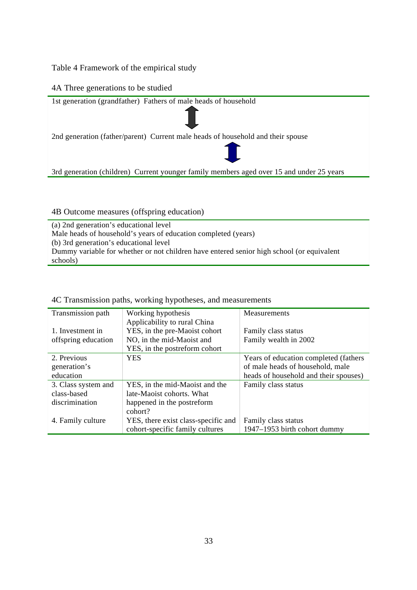Table 4 Framework of the empirical study

#### 4A Three generations to be studied



#### 4B Outcome measures (offspring education)

(a) 2nd generation's educational level Male heads of household's years of education completed (years) (b) 3rd generation's educational level Dummy variable for whether or not children have entered senior high school (or equivalent schools)

| Transmission path   | Working hypothesis                  | <b>Measurements</b>                   |
|---------------------|-------------------------------------|---------------------------------------|
|                     | Applicability to rural China        |                                       |
| 1. Investment in    | YES, in the pre-Maoist cohort       | Family class status                   |
| offspring education | NO, in the mid-Maoist and           | Family wealth in 2002                 |
|                     | YES, in the postreform cohort       |                                       |
| 2. Previous         | <b>YES</b>                          | Years of education completed (fathers |
| generation's        |                                     | of male heads of household, male      |
| education           |                                     | heads of household and their spouses) |
| 3. Class system and | YES, in the mid-Maoist and the      | Family class status                   |
| class-based         | late-Maoist cohorts. What           |                                       |
| discrimination      | happened in the postreform          |                                       |
|                     | cohort?                             |                                       |
| 4. Family culture   | YES, there exist class-specific and | Family class status                   |
|                     | cohort-specific family cultures     | 1947–1953 birth cohort dummy          |

4C Transmission paths, working hypotheses, and measurements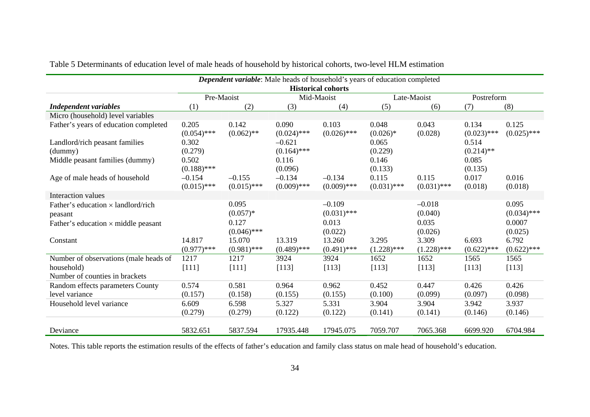|                                                                                                    |                                            |                                               | Dependent variable: Male heads of household's years of education completed | <b>Historical cohorts</b>                     |                                      |                                         |                                           |                                             |
|----------------------------------------------------------------------------------------------------|--------------------------------------------|-----------------------------------------------|----------------------------------------------------------------------------|-----------------------------------------------|--------------------------------------|-----------------------------------------|-------------------------------------------|---------------------------------------------|
|                                                                                                    |                                            | Pre-Maoist                                    |                                                                            | Mid-Maoist                                    |                                      | Late-Maoist                             | Postreform                                |                                             |
| <b>Independent variables</b>                                                                       | (1)                                        | (2)                                           | (3)                                                                        | (4)                                           | (5)                                  | (6)                                     | (7)                                       | (8)                                         |
| Micro (household) level variables                                                                  |                                            |                                               |                                                                            |                                               |                                      |                                         |                                           |                                             |
| Father's years of education completed                                                              | 0.205<br>$(0.054)$ ***                     | 0.142<br>$(0.062)$ **                         | 0.090<br>$(0.024)$ ***                                                     | 0.103<br>$(0.026)$ ***                        | 0.048<br>$(0.026)*$                  | 0.043<br>(0.028)                        | 0.134<br>$(0.023)$ ***                    | 0.125<br>$(0.025)$ ***                      |
| Landlord/rich peasant families<br>(dummy)<br>Middle peasant families (dummy)                       | 0.302<br>(0.279)<br>0.502<br>$(0.188)$ *** |                                               | $-0.621$<br>$(0.164)$ ***<br>0.116<br>(0.096)                              |                                               | 0.065<br>(0.229)<br>0.146<br>(0.133) |                                         | 0.514<br>$(0.214)$ **<br>0.085<br>(0.135) |                                             |
| Age of male heads of household                                                                     | $-0.154$<br>$(0.015)$ ***                  | $-0.155$<br>$(0.015)$ ***                     | $-0.134$<br>$(0.009)$ ***                                                  | $-0.134$<br>$(0.009)$ ***                     | 0.115<br>$(0.031)$ ***               | 0.115<br>$(0.031)$ ***                  | 0.017<br>(0.018)                          | 0.016<br>(0.018)                            |
| Interaction values                                                                                 |                                            |                                               |                                                                            |                                               |                                      |                                         |                                           |                                             |
| Father's education $\times$ landlord/rich<br>peasant<br>Father's education $\times$ middle peasant |                                            | 0.095<br>$(0.057)*$<br>0.127<br>$(0.046)$ *** |                                                                            | $-0.109$<br>$(0.031)$ ***<br>0.013<br>(0.022) |                                      | $-0.018$<br>(0.040)<br>0.035<br>(0.026) |                                           | 0.095<br>$(0.034)$ ***<br>0.0007<br>(0.025) |
| Constant                                                                                           | 14.817<br>$(0.977)$ ***                    | 15.070<br>$(0.981)$ ***                       | 13.319<br>$(0.489)$ ***                                                    | 13.260<br>$(0.491)$ ***                       | 3.295<br>$(1.228)$ ***               | 3.309<br>$(1.228)$ ***                  | 6.693<br>$(0.622)$ ***                    | 6.792<br>$(0.622)$ ***                      |
| Number of observations (male heads of<br>household)<br>Number of counties in brackets              | 1217<br>[111]                              | 1217<br>[111]                                 | 3924<br>[113]                                                              | 3924<br>[113]                                 | 1652<br>[113]                        | 1652<br>[113]                           | 1565<br>[113]                             | 1565<br>[113]                               |
| Random effects parameters County<br>level variance                                                 | 0.574<br>(0.157)                           | 0.581<br>(0.158)                              | 0.964<br>(0.155)                                                           | 0.962<br>(0.155)                              | 0.452<br>(0.100)                     | 0.447<br>(0.099)                        | 0.426<br>(0.097)                          | 0.426<br>(0.098)                            |
| Household level variance                                                                           | 6.609<br>(0.279)                           | 6.598<br>(0.279)                              | 5.327<br>(0.122)                                                           | 5.331<br>(0.122)                              | 3.904<br>(0.141)                     | 3.904<br>(0.141)                        | 3.942<br>(0.146)                          | 3.937<br>(0.146)                            |
| Deviance                                                                                           | 5832.651                                   | 5837.594                                      | 17935.448                                                                  | 17945.075                                     | 7059.707                             | 7065.368                                | 6699.920                                  | 6704.984                                    |

Table 5 Determinants of education level of male heads of household by historical cohorts, two-level HLM estimation

Notes. This table reports the estimation results of the effects of father's education and family class status on male head of household's education.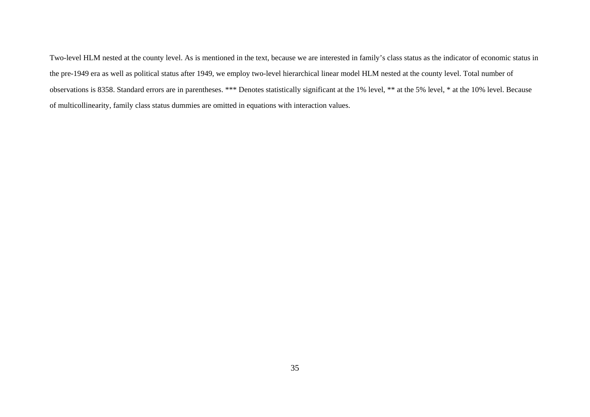Two-level HLM nested at the county level. As is mentioned in the text, because we are interested in family's class status as the indicator of economic status in the pre-1949 era as well as political status after 1949, we employ two-level hierarchical linear model HLM nested at the county level. Total number of observations is 8358. Standard errors are in parentheses. \*\*\* Denotes statistically significant at the 1% level, \*\* at the 5% level, \* at the 10% level. Because of multicollinearity, family class status dummies are omitted in equations with interaction values.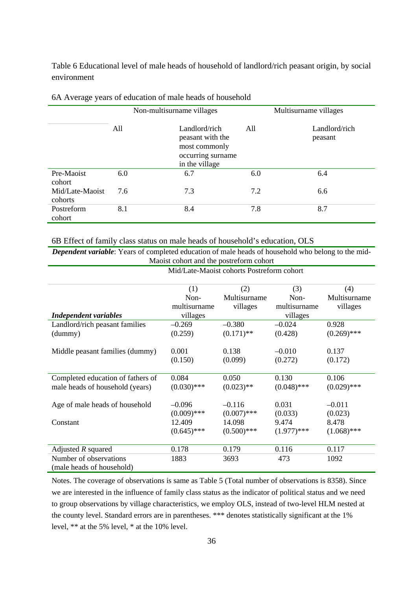Table 6 Educational level of male heads of household of landlord/rich peasant origin, by social environment

|                            | Non-multisurname villages |                                                                                           |     | Multisurname villages    |
|----------------------------|---------------------------|-------------------------------------------------------------------------------------------|-----|--------------------------|
|                            | All                       | Landlord/rich<br>peasant with the<br>most commonly<br>occurring surname<br>in the village | All | Landlord/rich<br>peasant |
| Pre-Maoist<br>cohort       | 6.0                       | 6.7                                                                                       | 6.0 | 6.4                      |
| Mid/Late-Maoist<br>cohorts | 7.6                       | 7.3                                                                                       | 7.2 | 6.6                      |
| Postreform<br>cohort       | 8.1                       | 8.4                                                                                       | 7.8 | 8.7                      |

6A Average years of education of male heads of household

6B Effect of family class status on male heads of household's education, OLS

*Dependent variable*: Years of completed education of male heads of household who belong to the mid-Maoist cohort and the postreform cohort

|                                   | <b>THEOTHE COLLULE CHU LET DUBLICION COLLUL</b> | Mid/Late-Maoist cohorts Postreform cohort |               |               |
|-----------------------------------|-------------------------------------------------|-------------------------------------------|---------------|---------------|
|                                   |                                                 |                                           |               |               |
|                                   | (1)                                             | (2)                                       | (3)           | (4)           |
|                                   | Non-                                            | Multisurname                              | Non-          | Multisurname  |
|                                   | multisurname                                    | villages                                  | multisurname  | villages      |
| <b>Independent variables</b>      | villages                                        |                                           | villages      |               |
| Landlord/rich peasant families    | $-0.269$                                        | $-0.380$                                  | $-0.024$      | 0.928         |
| (dummy)                           | (0.259)                                         | $(0.171)$ **                              | (0.428)       | $(0.269)$ *** |
|                                   |                                                 |                                           |               |               |
| Middle peasant families (dummy)   | 0.001                                           | 0.138                                     | $-0.010$      | 0.137         |
|                                   | (0.150)                                         | (0.099)                                   | (0.272)       | (0.172)       |
|                                   |                                                 |                                           |               |               |
| Completed education of fathers of | 0.084                                           | 0.050                                     | 0.130         | 0.106         |
| male heads of household (years)   | $(0.030)$ ***                                   | $(0.023)$ **                              | $(0.048)$ *** | $(0.029)$ *** |
|                                   |                                                 |                                           |               |               |
| Age of male heads of household    | $-0.096$                                        | $-0.116$                                  | 0.031         | $-0.011$      |
|                                   | $(0.009)$ ***                                   | $(0.007)$ ***                             | (0.033)       | (0.023)       |
| Constant                          | 12.409                                          | 14.098                                    | 9.474         | 8.478         |
|                                   | $(0.645)$ ***                                   | $(0.500)$ ***                             | $(1.977)$ *** | $(1.068)$ *** |
|                                   |                                                 |                                           |               |               |
| Adjusted $R$ squared              | 0.178                                           | 0.179                                     | 0.116         | 0.117         |
| Number of observations            | 1883                                            | 3693                                      | 473           | 1092          |
| (male heads of household)         |                                                 |                                           |               |               |

Notes. The coverage of observations is same as Table 5 (Total number of observations is 8358). Since we are interested in the influence of family class status as the indicator of political status and we need to group observations by village characteristics, we employ OLS, instead of two-level HLM nested at the county level. Standard errors are in parentheses. \*\*\* denotes statistically significant at the 1% level, \*\* at the 5% level, \* at the 10% level.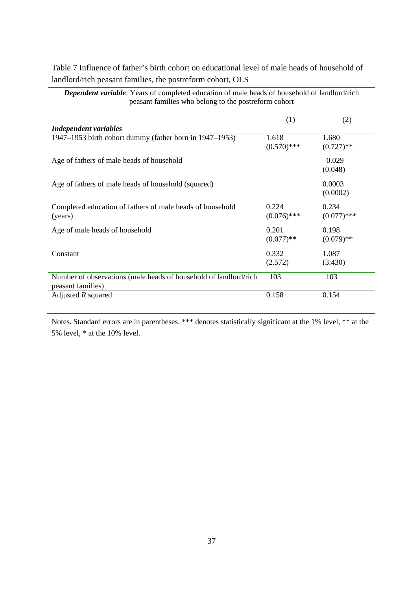Table 7 Influence of father's birth cohort on educational level of male heads of household of landlord/rich peasant families, the postreform cohort, OLS

| peasant families who belong to the postreform cohort                                  |                        |                        |
|---------------------------------------------------------------------------------------|------------------------|------------------------|
|                                                                                       | (1)                    | (2)                    |
| <b>Independent variables</b>                                                          |                        |                        |
| 1947–1953 birth cohort dummy (father born in 1947–1953)                               | 1.618<br>$(0.570)$ *** | 1.680<br>$(0.727)$ **  |
| Age of fathers of male heads of household                                             |                        | $-0.029$<br>(0.048)    |
| Age of fathers of male heads of household (squared)                                   |                        | 0.0003<br>(0.0002)     |
| Completed education of fathers of male heads of household<br>(years)                  | 0.224<br>$(0.076)$ *** | 0.234<br>$(0.077)$ *** |
| Age of male heads of household                                                        | 0.201<br>$(0.077)$ **  | 0.198<br>$(0.079)$ **  |
| Constant                                                                              | 0.332<br>(2.572)       | 1.087<br>(3.430)       |
| Number of observations (male heads of household of landlord/rich<br>peasant families) | 103                    | 103                    |
| Adjusted $R$ squared                                                                  | 0.158                  | 0.154                  |

*Dependent variable*: Years of completed education of male heads of household of landlord/rich peasant families who belong to the postreform cohort

Notes. Standard errors are in parentheses. \*\*\* denotes statistically significant at the 1% level, \*\* at the 5% level, \* at the 10% level.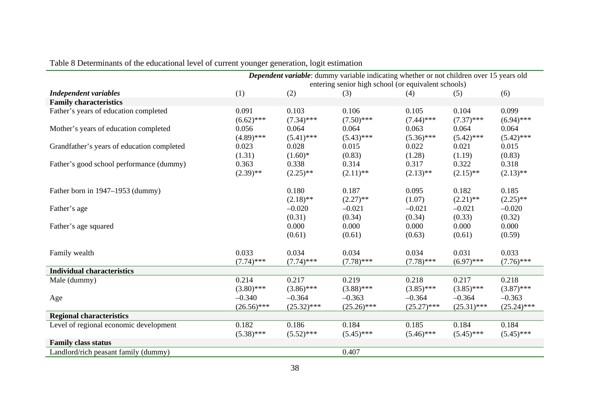|                                            | Dependent variable: dummy variable indicating whether or not children over 15 years old<br>entering senior high school (or equivalent schools) |               |               |               |               |               |
|--------------------------------------------|------------------------------------------------------------------------------------------------------------------------------------------------|---------------|---------------|---------------|---------------|---------------|
| <b>Independent variables</b>               | (1)                                                                                                                                            | (2)           | (3)           | (4)           | (5)           | (6)           |
| <b>Family characteristics</b>              |                                                                                                                                                |               |               |               |               |               |
| Father's years of education completed      | 0.091                                                                                                                                          | 0.103         | 0.106         | 0.105         | 0.104         | 0.099         |
|                                            | $(6.62)$ ***                                                                                                                                   | $(7.34)$ ***  | $(7.50)$ ***  | $(7.44)$ ***  | $(7.37)$ ***  | $(6.94)$ ***  |
| Mother's years of education completed      | 0.056                                                                                                                                          | 0.064         | 0.064         | 0.063         | 0.064         | 0.064         |
|                                            | $(4.89)$ ***                                                                                                                                   | $(5.41)$ ***  | $(5.43)$ ***  | $(5.36)$ ***  | $(5.42)$ ***  | $(5.42)$ ***  |
| Grandfather's years of education completed | 0.023                                                                                                                                          | 0.028         | 0.015         | 0.022         | 0.021         | 0.015         |
|                                            | (1.31)                                                                                                                                         | $(1.60)*$     | (0.83)        | (1.28)        | (1.19)        | (0.83)        |
| Father's good school performance (dummy)   | 0.363                                                                                                                                          | 0.338         | 0.314         | 0.317         | 0.322         | 0.318         |
|                                            | $(2.39)$ **                                                                                                                                    | $(2.25)$ **   | $(2.11)$ **   | $(2.13)$ **   | $(2.15)$ **   | $(2.13)$ **   |
| Father born in 1947–1953 (dummy)           |                                                                                                                                                | 0.180         | 0.187         | 0.095         | 0.182         | 0.185         |
|                                            |                                                                                                                                                | $(2.18)$ **   | $(2.27)$ **   | (1.07)        | $(2.21)$ **   | $(2.25)$ **   |
| Father's age                               |                                                                                                                                                | $-0.020$      | $-0.021$      | $-0.021$      | $-0.021$      | $-0.020$      |
|                                            |                                                                                                                                                | (0.31)        | (0.34)        | (0.34)        | (0.33)        | (0.32)        |
| Father's age squared                       |                                                                                                                                                | 0.000         | 0.000         | 0.000         | 0.000         | 0.000         |
|                                            |                                                                                                                                                | (0.61)        | (0.61)        | (0.63)        | (0.61)        | (0.59)        |
| Family wealth                              | 0.033                                                                                                                                          | 0.034         | 0.034         | 0.034         | 0.031         | 0.033         |
|                                            | $(7.74)$ ***                                                                                                                                   | $(7.74)$ ***  | $(7.78)$ ***  | $(7.78)$ ***  | $(6.97)$ ***  | $(7.76)$ ***  |
| <b>Individual characteristics</b>          |                                                                                                                                                |               |               |               |               |               |
| Male (dummy)                               | 0.214                                                                                                                                          | 0.217         | 0.219         | 0.218         | 0.217         | 0.218         |
|                                            | $(3.80)$ ***                                                                                                                                   | $(3.86)$ ***  | $(3.88)$ ***  | $(3.85)$ ***  | $(3.85)$ ***  | $(3.87)$ ***  |
| Age                                        | $-0.340$                                                                                                                                       | $-0.364$      | $-0.363$      | $-0.364$      | $-0.364$      | $-0.363$      |
|                                            | $(26.56)$ ***                                                                                                                                  | $(25.32)$ *** | $(25.26)$ *** | $(25.27)$ *** | $(25.31)$ *** | $(25.24)$ *** |
| <b>Regional characteristics</b>            |                                                                                                                                                |               |               |               |               |               |
| Level of regional economic development     | 0.182                                                                                                                                          | 0.186         | 0.184         | 0.185         | 0.184         | 0.184         |
|                                            | $(5.38)$ ***                                                                                                                                   | $(5.52)$ ***  | $(5.45)$ ***  | $(5.46)$ ***  | $(5.45)$ ***  | $(5.45)$ ***  |
| <b>Family class status</b>                 |                                                                                                                                                |               |               |               |               |               |
| Landlord/rich peasant family (dummy)       |                                                                                                                                                |               | 0.407         |               |               |               |

# Table 8 Determinants of the educational level of current younger generation, logit estimation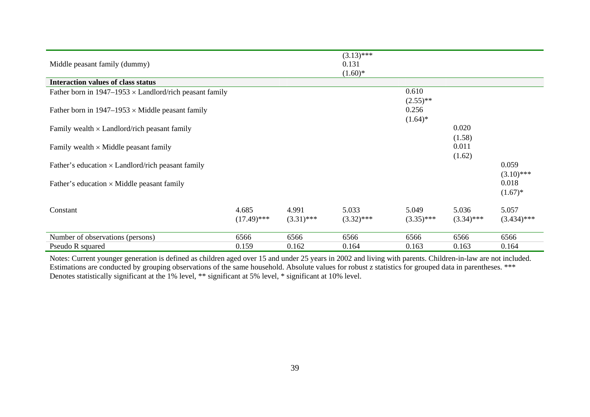| Middle peasant family (dummy)                                  |                        |                       | $(3.13)$ ***<br>0.131<br>$(1.60)*$ |                                    |                           |                                     |
|----------------------------------------------------------------|------------------------|-----------------------|------------------------------------|------------------------------------|---------------------------|-------------------------------------|
| <b>Interaction values of class status</b>                      |                        |                       |                                    |                                    |                           |                                     |
| Father born in $1947-1953 \times$ Landlord/rich peasant family |                        |                       |                                    | 0.610                              |                           |                                     |
| Father born in $1947-1953 \times$ Middle peasant family        |                        |                       |                                    | $(2.55)$ **<br>0.256<br>$(1.64)^*$ |                           |                                     |
| Family wealth $\times$ Landlord/rich peasant family            |                        |                       |                                    |                                    | 0.020                     |                                     |
| Family wealth $\times$ Middle peasant family                   |                        |                       |                                    |                                    | (1.58)<br>0.011<br>(1.62) |                                     |
| Father's education $\times$ Landlord/rich peasant family       |                        |                       |                                    |                                    |                           | 0.059                               |
| Father's education $\times$ Middle peasant family              |                        |                       |                                    |                                    |                           | $(3.10)$ ***<br>0.018<br>$(1.67)^*$ |
| Constant                                                       | 4.685<br>$(17.49)$ *** | 4.991<br>$(3.31)$ *** | 5.033<br>$(3.32)$ ***              | 5.049<br>$(3.35)$ ***              | 5.036<br>$(3.34)$ ***     | 5.057<br>$(3.434)$ ***              |
| Number of observations (persons)                               | 6566                   | 6566                  | 6566                               | 6566                               | 6566                      | 6566                                |
| Pseudo R squared                                               | 0.159                  | 0.162                 | 0.164                              | 0.163                              | 0.163                     | 0.164                               |

Notes: Current younger generation is defined as children aged over 15 and under 25 years in 2002 and living with parents. Children-in-law are not included. Estimations are conducted by grouping observations of the same household. Absolute values for robust z statistics for grouped data in parentheses. \*\*\* Denotes statistically significant at the 1% level, \*\* significant at 5% level, \* significant at 10% level.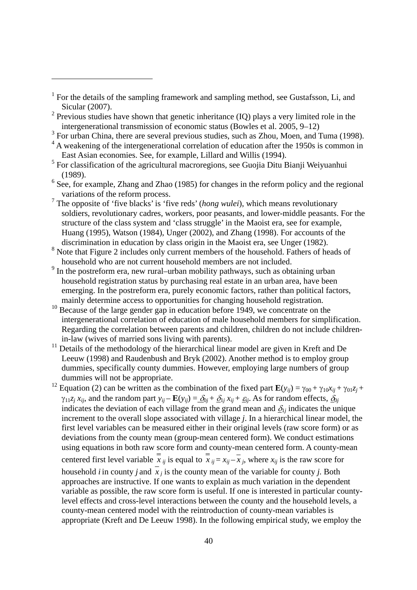$\overline{a}$ 

- <sup>2</sup> Previous studies have shown that genetic inheritance (IQ) plays a very limited role in the intergenerational transmission of economic status (Bowles et al. 2005, 9–12)
- $3$  For urban China, there are several previous studies, such as Zhou, Moen, and Tuma (1998).
- <sup>4</sup> A weakening of the intergenerational correlation of education after the 1950s is common in East Asian economies. See, for example, Lillard and Willis (1994).
- $<sup>5</sup>$  For classification of the agricultural macroregions, see Guojia Ditu Bianji Weiyuanhui</sup> (1989).
- $<sup>6</sup>$  See, for example, Zhang and Zhao (1985) for changes in the reform policy and the regional</sup> variations of the reform process.
- 7 The opposite of 'five blacks' is 'five reds' (*hong wulei*), which means revolutionary soldiers, revolutionary cadres, workers, poor peasants, and lower-middle peasants. For the structure of the class system and 'class struggle' in the Maoist era, see for example, Huang (1995), Watson (1984), Unger (2002), and Zhang (1998). For accounts of the discrimination in education by class origin in the Maoist era, see Unger (1982).
- <sup>8</sup> Note that Figure 2 includes only current members of the household. Fathers of heads of household who are not current household members are not included.
- <sup>9</sup> In the postreform era, new rural–urban mobility pathways, such as obtaining urban household registration status by purchasing real estate in an urban area, have been emerging. In the postreform era, purely economic factors, rather than political factors, mainly determine access to opportunities for changing household registration.
- <sup>10</sup> Because of the large gender gap in education before 1949, we concentrate on the intergenerational correlation of education of male household members for simplification. Regarding the correlation between parents and children, children do not include childrenin-law (wives of married sons living with parents).
- <sup>11</sup> Details of the methodology of the hierarchical linear model are given in Kreft and De Leeuw (1998) and Raudenbush and Bryk (2002). Another method is to employ group dummies, specifically county dummies. However, employing large numbers of group dummies will not be appropriate.
- <sup>12</sup> Equation (2) can be written as the combination of the fixed part  $\mathbf{E}(y_{ij}) = \gamma_{00} + \gamma_{10}x_{ij} + \gamma_{01}z_j +$  $\gamma_{11}z_j x_{ij}$ , and the random part  $y_{ij} - \mathbf{E}(y_{ij}) = \delta_{0j} + \delta_{1j} x_{ij} + \varepsilon_{ij}$ . As for random effects,  $\delta_{0j}$ indicates the deviation of each village from the grand mean and  $\delta_{lj}$  indicates the unique increment to the overall slope associated with village *j*. In a hierarchical linear model, the first level variables can be measured either in their original levels (raw score form) or as deviations from the county mean (group-mean centered form). We conduct estimations using equations in both raw score form and county-mean centered form. A county-mean centered first level variable  $\overline{x}$  *ij* is equal to  $\overline{x}$  *ij* =  $x$  *ij*  $-x$  *j*, where  $x$  *ij* is the raw score for household *i* in county *j* and  $\overline{x}$  *j* is the county mean of the variable for county *j*. Both approaches are instructive. If one wants to explain as much variation in the dependent variable as possible, the raw score form is useful. If one is interested in particular countylevel effects and cross-level interactions between the county and the household levels, a county-mean centered model with the reintroduction of county-mean variables is appropriate (Kreft and De Leeuw 1998). In the following empirical study, we employ the

<sup>&</sup>lt;sup>1</sup> For the details of the sampling framework and sampling method, see Gustafsson, Li, and Sicular (2007).